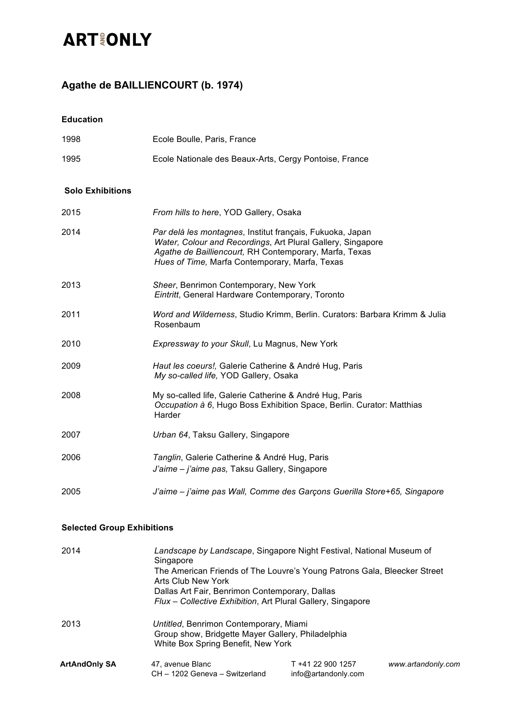# **ART&ONLY**

### **Agathe de BAILLIENCOURT (b. 1974)**

**Education** 

| 1998                              | Ecole Boulle, Paris, France                                                                                                                                                                                                          |
|-----------------------------------|--------------------------------------------------------------------------------------------------------------------------------------------------------------------------------------------------------------------------------------|
| 1995                              | Ecole Nationale des Beaux-Arts, Cergy Pontoise, France                                                                                                                                                                               |
| <b>Solo Exhibitions</b>           |                                                                                                                                                                                                                                      |
| 2015                              | From hills to here, YOD Gallery, Osaka                                                                                                                                                                                               |
| 2014                              | Par delà les montagnes, Institut français, Fukuoka, Japan<br>Water, Colour and Recordings, Art Plural Gallery, Singapore<br>Agathe de Bailliencourt, RH Contemporary, Marfa, Texas<br>Hues of Time, Marfa Contemporary, Marfa, Texas |
| 2013                              | Sheer, Benrimon Contemporary, New York<br>Eintritt, General Hardware Contemporary, Toronto                                                                                                                                           |
| 2011                              | Word and Wilderness, Studio Krimm, Berlin. Curators: Barbara Krimm & Julia<br>Rosenbaum                                                                                                                                              |
| 2010                              | Expressway to your Skull, Lu Magnus, New York                                                                                                                                                                                        |
| 2009                              | Haut les coeurs!, Galerie Catherine & André Hug, Paris<br>My so-called life, YOD Gallery, Osaka                                                                                                                                      |
| 2008                              | My so-called life, Galerie Catherine & André Hug, Paris<br>Occupation à 6, Hugo Boss Exhibition Space, Berlin. Curator: Matthias<br>Harder                                                                                           |
| 2007                              | Urban 64, Taksu Gallery, Singapore                                                                                                                                                                                                   |
| 2006                              | Tanglin, Galerie Catherine & André Hug, Paris<br>J'aime - j'aime pas, Taksu Gallery, Singapore                                                                                                                                       |
| 2005                              | J'aime - j'aime pas Wall, Comme des Garçons Guerilla Store+65, Singapore                                                                                                                                                             |
| <b>Selected Group Exhibitions</b> |                                                                                                                                                                                                                                      |
| 2014                              | Landscape by Landscape, Singapore Night Festival, National Museum of<br>Singapore<br>The American Friends of The Louvre's Young Patrons Gala, Bleecker Street<br><b>Arts Club New York</b>                                           |

*Flux – Collective Exhibition*, Art Plural Gallery, Singapore 2013 *Untitled*, Benrimon Contemporary, Miami Group show, Bridgette Mayer Gallery, Philadelphia White Box Spring Benefit, New York

Dallas Art Fair, Benrimon Contemporary, Dallas

| <b>ArtAndOnly SA</b> | 47, avenue Blanc               | T +41 22 900 1257   |
|----------------------|--------------------------------|---------------------|
|                      | CH - 1202 Geneva - Switzerland | info@artandonly.com |

 $www. artand only.com$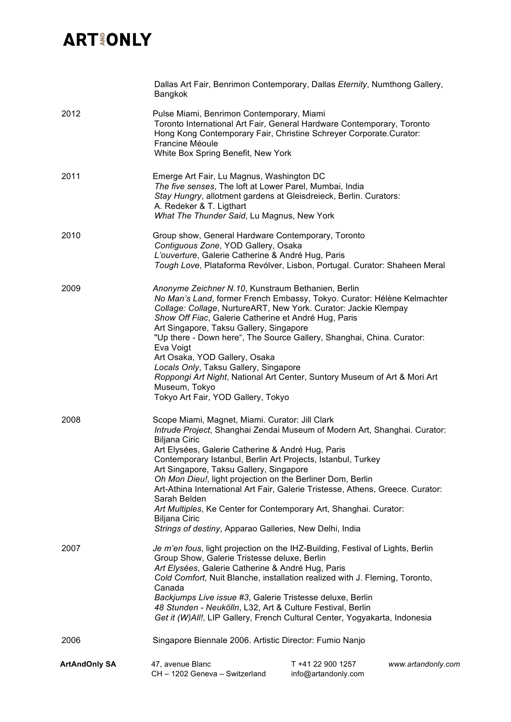## **ARTIONLY**

|               | Dallas Art Fair, Benrimon Contemporary, Dallas Eternity, Numthong Gallery,<br>Bangkok                                                                                                                                                                                                                                                                                                                                                                                                                                                                                                                                                        |                                          |                    |
|---------------|----------------------------------------------------------------------------------------------------------------------------------------------------------------------------------------------------------------------------------------------------------------------------------------------------------------------------------------------------------------------------------------------------------------------------------------------------------------------------------------------------------------------------------------------------------------------------------------------------------------------------------------------|------------------------------------------|--------------------|
| 2012          | Pulse Miami, Benrimon Contemporary, Miami<br>Toronto International Art Fair, General Hardware Contemporary, Toronto<br>Hong Kong Contemporary Fair, Christine Schreyer Corporate.Curator:<br>Francine Méoule                                                                                                                                                                                                                                                                                                                                                                                                                                 |                                          |                    |
|               | White Box Spring Benefit, New York                                                                                                                                                                                                                                                                                                                                                                                                                                                                                                                                                                                                           |                                          |                    |
| 2011          | Emerge Art Fair, Lu Magnus, Washington DC<br>The five senses, The loft at Lower Parel, Mumbai, India<br>Stay Hungry, allotment gardens at Gleisdreieck, Berlin. Curators:<br>A. Redeker & T. Ligthart<br>What The Thunder Said, Lu Magnus, New York                                                                                                                                                                                                                                                                                                                                                                                          |                                          |                    |
| 2010          | Group show, General Hardware Contemporary, Toronto<br>Contiguous Zone, YOD Gallery, Osaka<br>L'ouverture, Galerie Catherine & André Hug, Paris<br>Tough Love, Plataforma Revólver, Lisbon, Portugal. Curator: Shaheen Meral                                                                                                                                                                                                                                                                                                                                                                                                                  |                                          |                    |
| 2009          | Anonyme Zeichner N.10, Kunstraum Bethanien, Berlin<br>No Man's Land, former French Embassy, Tokyo. Curator: Hélène Kelmachter<br>Collage: Collage, NurtureART, New York. Curator: Jackie Klempay<br>Show Off Fiac, Galerie Catherine et André Hug, Paris<br>Art Singapore, Taksu Gallery, Singapore<br>"Up there - Down here", The Source Gallery, Shanghai, China. Curator:<br>Eva Voigt<br>Art Osaka, YOD Gallery, Osaka<br>Locals Only, Taksu Gallery, Singapore<br>Roppongi Art Night, National Art Center, Suntory Museum of Art & Mori Art<br>Museum, Tokyo<br>Tokyo Art Fair, YOD Gallery, Tokyo                                      |                                          |                    |
| 2008          | Scope Miami, Magnet, Miami. Curator: Jill Clark<br>Intrude Project, Shanghai Zendai Museum of Modern Art, Shanghai. Curator:<br><b>Biljana Ciric</b><br>Art Elysées, Galerie Catherine & André Hug, Paris<br>Contemporary Istanbul, Berlin Art Projects, Istanbul, Turkey<br>Art Singapore, Taksu Gallery, Singapore<br>Oh Mon Dieu!, light projection on the Berliner Dom, Berlin<br>Art-Athina International Art Fair, Galerie Tristesse, Athens, Greece. Curator:<br>Sarah Belden<br>Art Multiples, Ke Center for Contemporary Art, Shanghai. Curator:<br><b>Biljana Ciric</b><br>Strings of destiny, Apparao Galleries, New Delhi, India |                                          |                    |
| 2007          | Je m'en fous, light projection on the IHZ-Building, Festival of Lights, Berlin<br>Group Show, Galerie Tristesse deluxe, Berlin<br>Art Elysées, Galerie Catherine & André Hug, Paris<br>Cold Comfort, Nuit Blanche, installation realized with J. Fleming, Toronto,<br>Canada<br>Backjumps Live issue #3, Galerie Tristesse deluxe, Berlin<br>48 Stunden - Neukölln, L32, Art & Culture Festival, Berlin<br>Get it (W)All!, LIP Gallery, French Cultural Center, Yogyakarta, Indonesia                                                                                                                                                        |                                          |                    |
| 2006          | Singapore Biennale 2006. Artistic Director: Fumio Nanjo                                                                                                                                                                                                                                                                                                                                                                                                                                                                                                                                                                                      |                                          |                    |
| ArtAndOnly SA | 47, avenue Blanc<br>CH - 1202 Geneva - Switzerland                                                                                                                                                                                                                                                                                                                                                                                                                                                                                                                                                                                           | T +41 22 900 1257<br>info@artandonly.com | www.artandonly.com |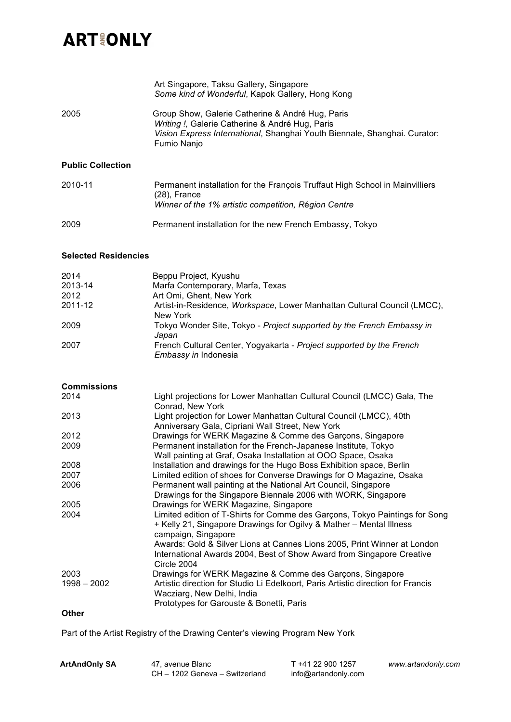# **ARTIONLY**

|                          | Art Singapore, Taksu Gallery, Singapore<br>Some kind of Wonderful, Kapok Gallery, Hong Kong                                                                                                     |
|--------------------------|-------------------------------------------------------------------------------------------------------------------------------------------------------------------------------------------------|
| 2005                     | Group Show, Galerie Catherine & André Hug, Paris<br>Writing !, Galerie Catherine & André Hug, Paris<br>Vision Express International, Shanghai Youth Biennale, Shanghai. Curator:<br>Fumio Nanjo |
| <b>Public Collection</b> |                                                                                                                                                                                                 |
| 2010-11                  | Permanent installation for the François Truffaut High School in Mainvilliers<br>(28), France<br>Winner of the 1% artistic competition, Région Centre                                            |
| 2009                     | Permanent installation for the new French Embassy, Tokyo                                                                                                                                        |

### **Selected Residencies**

| 2014    | Beppu Project, Kyushu                                                                        |
|---------|----------------------------------------------------------------------------------------------|
| 2013-14 | Marfa Contemporary, Marfa, Texas                                                             |
| 2012    | Art Omi, Ghent, New York                                                                     |
| 2011-12 | Artist-in-Residence, Workspace, Lower Manhattan Cultural Council (LMCC),<br>New York         |
| 2009    | Tokyo Wonder Site, Tokyo - Project supported by the French Embassy in<br>Japan               |
| 2007    | French Cultural Center, Yogyakarta - Project supported by the French<br>Embassy in Indonesia |

#### **Commissions**

| 2014          | Light projections for Lower Manhattan Cultural Council (LMCC) Gala, The          |
|---------------|----------------------------------------------------------------------------------|
|               | Conrad, New York                                                                 |
| 2013          | Light projection for Lower Manhattan Cultural Council (LMCC), 40th               |
|               | Anniversary Gala, Cipriani Wall Street, New York                                 |
| 2012          | Drawings for WERK Magazine & Comme des Garçons, Singapore                        |
| 2009          | Permanent installation for the French-Japanese Institute, Tokyo                  |
|               | Wall painting at Graf, Osaka Installation at OOO Space, Osaka                    |
| 2008          | Installation and drawings for the Hugo Boss Exhibition space, Berlin             |
| 2007          | Limited edition of shoes for Converse Drawings for O Magazine, Osaka             |
| 2006          | Permanent wall painting at the National Art Council, Singapore                   |
|               | Drawings for the Singapore Biennale 2006 with WORK, Singapore                    |
| 2005          | Drawings for WERK Magazine, Singapore                                            |
| 2004          | Limited edition of T-Shirts for Comme des Garçons, Tokyo Paintings for Song      |
|               | + Kelly 21, Singapore Drawings for Ogilvy & Mather - Mental Illness              |
|               | campaign, Singapore                                                              |
|               | Awards: Gold & Silver Lions at Cannes Lions 2005, Print Winner at London         |
|               | International Awards 2004, Best of Show Award from Singapore Creative            |
|               | Circle 2004                                                                      |
| 2003          | Drawings for WERK Magazine & Comme des Garçons, Singapore                        |
| $1998 - 2002$ | Artistic direction for Studio Li Edelkoort, Paris Artistic direction for Francis |
|               | Wacziarg, New Delhi, India                                                       |
|               | Prototypes for Garouste & Bonetti, Paris                                         |
|               |                                                                                  |

#### **Other**

Part of the Artist Registry of the Drawing Center's viewing Program New York

| <b>ArtAndOnly SA</b> | 47. avenue Blanc               | T +41 22 900 1257   | ww |
|----------------------|--------------------------------|---------------------|----|
|                      | CH - 1202 Geneva - Switzerland | info@artandonly.com |    |